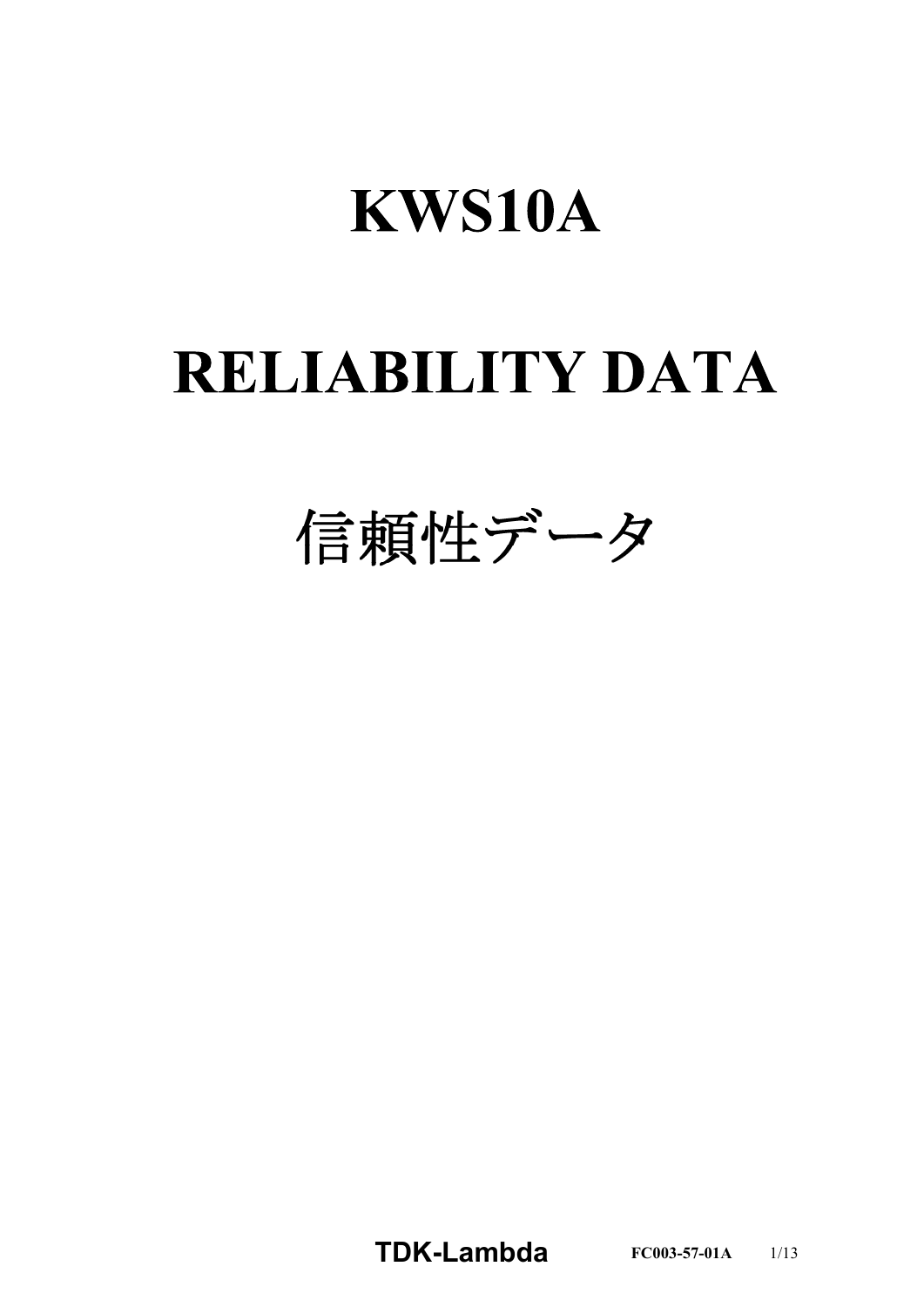# **KWS10A**

# **RELIABILITY DATA**

信頼性データ

**TDK-Lambda FC003-57-01A** 1/13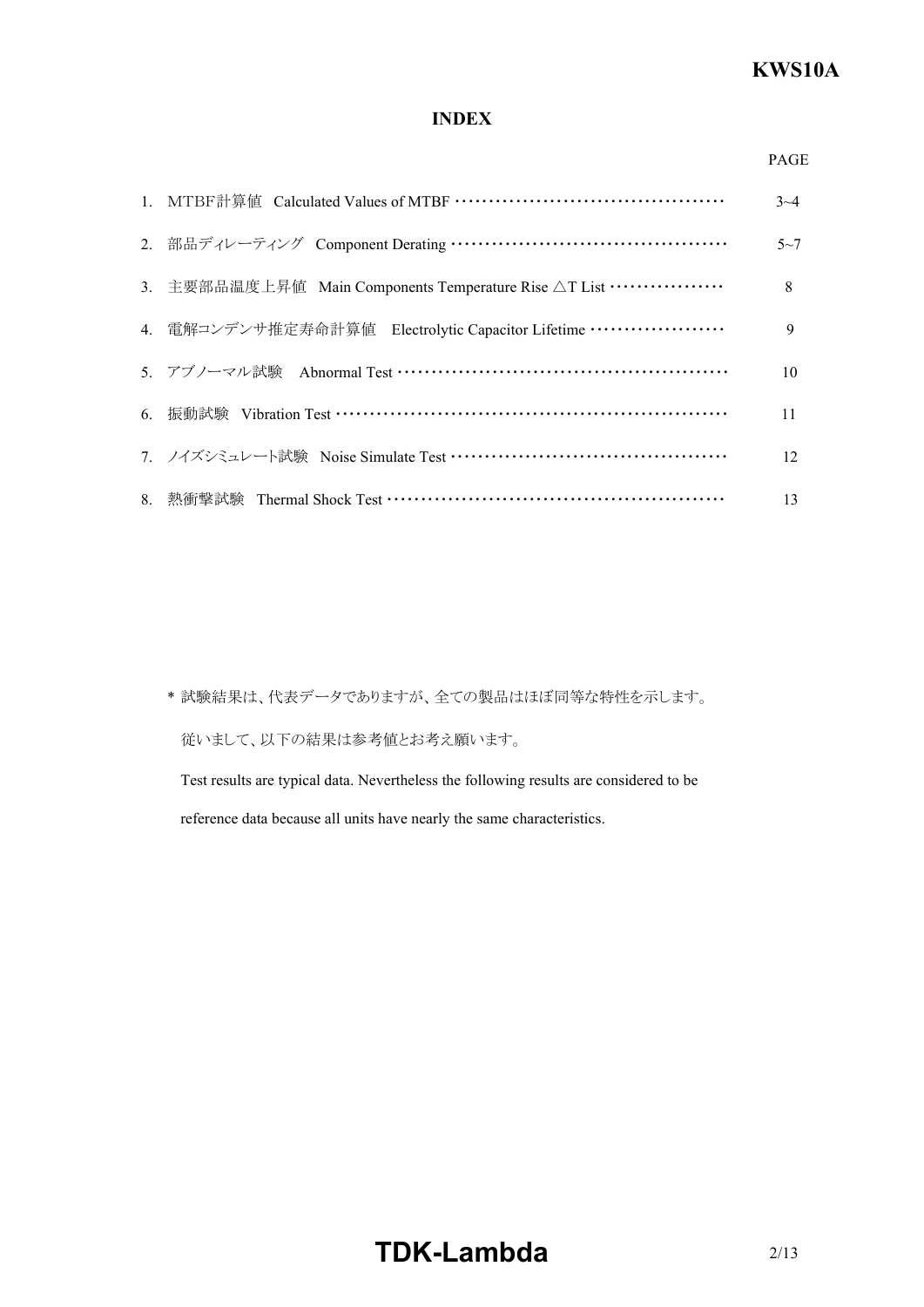## **INDEX**

#### PAGE

|                                                                         | $3 - 4$ |
|-------------------------------------------------------------------------|---------|
| 2. 部品ディレーティング Component Derating ………………………………………                        | $5 - 7$ |
| 3. 主要部品温度上昇值 Main Components Temperature Rise $\triangle$ T List ……………… | 8       |
| 4. 電解コンデンサ推定寿命計算値 Electrolytic Capacitor Lifetime …………………               | 9       |
| 5. アブノーマル試験 Abnormal Test …………………………………………………                           | 10      |
|                                                                         | 11      |
| 7. ノイズシミュレート試験 Noise Simulate Test ………………………………………                      | 12      |
| 8. 熱衝擊試験 Thermal Shock Test ………………………………………………………                       | 13      |

\* 試験結果は、代表データでありますが、全ての製品はほぼ同等な特性を示します。 従いまして、以下の結果は参考値とお考え願います。

Test results are typical data. Nevertheless the following results are considered to be reference data because all units have nearly the same characteristics.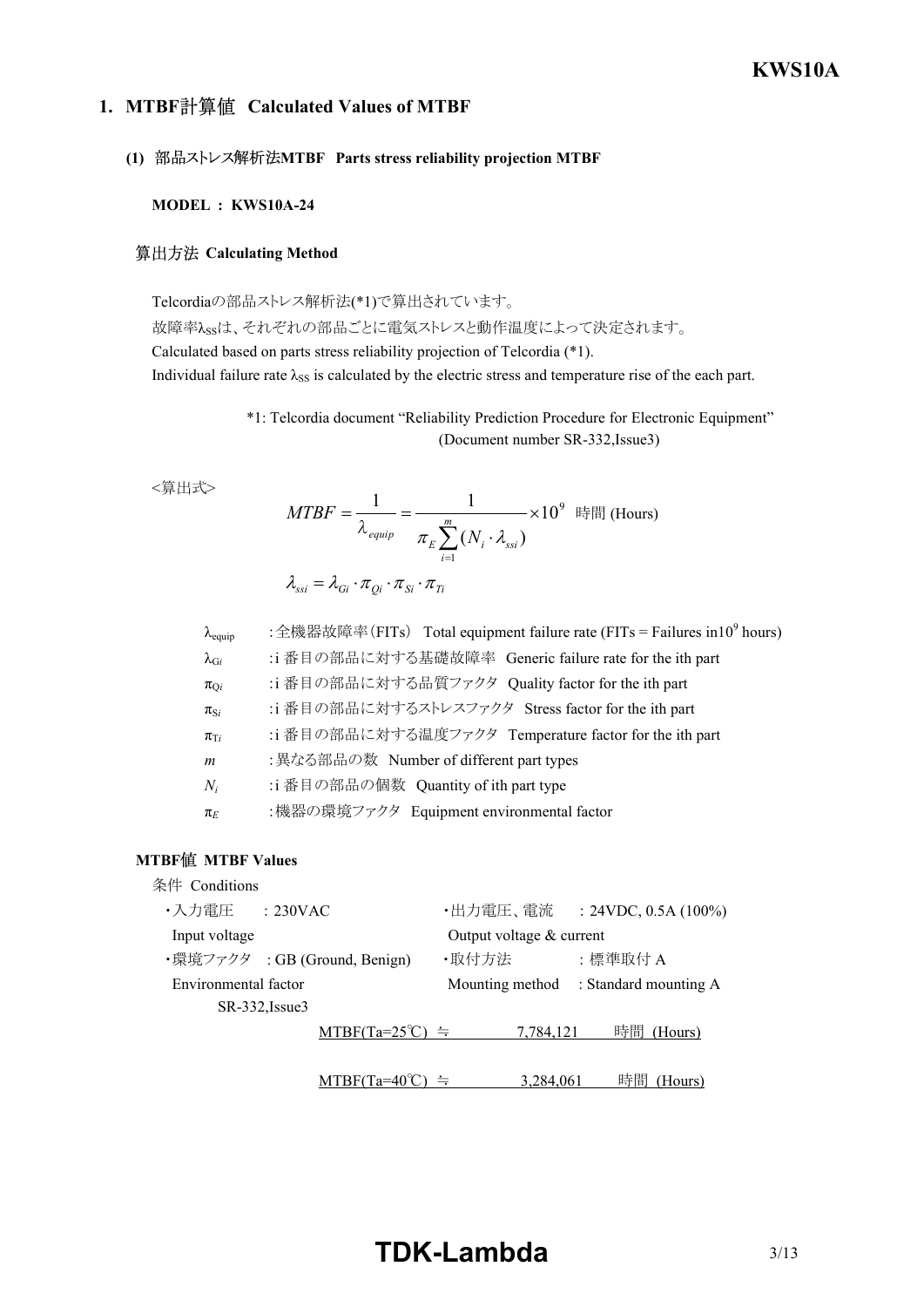## *RWS 50B600B Series* **KWS10A**

## **1. MTBF Calculated Values of MTBF**

#### **(1) MTBF Parts stress reliability projection MTBF**

#### **MODEL : KWS10A-24**

#### **算出方法 Calculating Method**

Telcordiaの部品ストレス解析法(\*1)で算出されています。

故障率λssは、それぞれの部品ごとに電気ストレスと動作温度によって決定されます。 Calculated based on parts stress reliability projection of Telcordia (\*1). Individual failure rate  $\lambda_{SS}$  is calculated by the electric stress and temperature rise of the each part.

> \*1: Telcordia document "Reliability Prediction Procedure for Electronic Equipment" (Document number SR-332, Issue3)

<算出式>

$$
MTBF = \frac{1}{\lambda_{equip}} = \frac{1}{\pi_E \sum_{i=1}^{m} (N_i \cdot \lambda_{ssi})} \times 10^9 \text{ H} \text{ (Hours)}
$$

$$
\lambda_{ssi} = \lambda_{Gi} \cdot \pi_{Qi} \cdot \pi_{Si} \cdot \pi_{Ti}
$$

| $\lambda_{\text{equip}}$ | : 全機器故障率(FITs) Total equipment failure rate (FITs = Failures in 10 <sup>9</sup> hours) |
|--------------------------|----------------------------------------------------------------------------------------|
| $\lambda_{\text{G}i}$    | :i 番目の部品に対する基礎故障率 Generic failure rate for the ith part                                |
| $\pi_{\text{O}i}$        | :i 番目の部品に対する品質ファクタ Quality factor for the ith part                                     |
| $\pi_{S_i}$              | :i 番目の部品に対するストレスファクタ Stress factor for the ith part                                    |
| $\pi_{Ti}$               | :i 番目の部品に対する温度ファクタ Temperature factor for the ith part                                 |
| $\boldsymbol{m}$         | : 異なる部品の数 Number of different part types                                               |
| $N_i$                    | :i 番目の部品の個数 Quantity of ith part type                                                  |
| $\pi_E$                  | :機器の環境ファクタ Equipment environmental factor                                              |

#### **MTBF MTBF Values**

| 条件 Conditions        |                                     |                          |                                       |
|----------------------|-------------------------------------|--------------------------|---------------------------------------|
| ・入力電圧                | : 230VAC                            | ・出力電圧、電流                 | : $24VDC$ , 0.5A (100%)               |
| Input voltage        |                                     | Output voltage & current |                                       |
|                      | ・環境ファクタ :GB (Ground, Benign)        | ・取付方法                    | :標準取付 A                               |
| Environmental factor |                                     |                          | Mounting method : Standard mounting A |
| SR-332, Issue3       |                                     |                          |                                       |
|                      | $MTBF(Ta=25^{\circ}\text{C}) \cong$ | 7,784,121                | 時間<br>(Hours)                         |
|                      |                                     |                          |                                       |
|                      | TBF(Ta=4                            | 3.284.061                | 時間<br>'Hours)                         |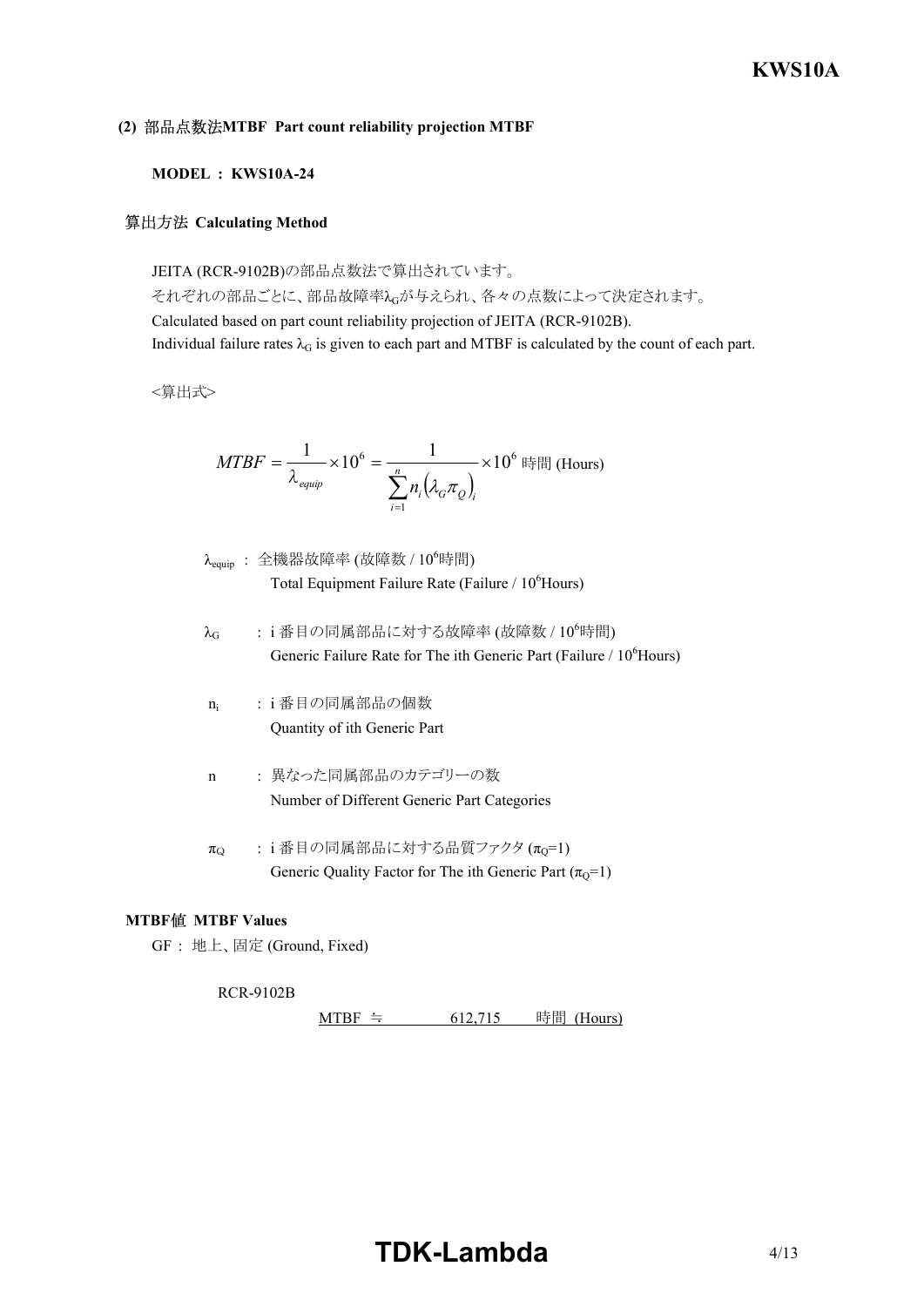#### **(2) MTBF Part count reliability projection MTBF**

#### **MODEL : KWS10A-24**

#### **算出方法 Calculating Method**

JEITA (RCR-9102B)の部品点数法で算出されています。 それぞれの部品ごとに、部品故障率λGが与えられ、各々の点数によって決定されます。 Calculated based on part count reliability projection of JEITA (RCR-9102B). Individual failure rates  $\lambda_G$  is given to each part and MTBF is calculated by the count of each part.

<算出式>

$$
MTBF = \frac{1}{\lambda_{\text{equip}}} \times 10^6 = \frac{1}{\sum_{i=1}^n n_i (\lambda_{\text{G}} \pi_{\text{Q}})_i} \times 10^6 \text{ H, (Hours)}
$$

- $\lambda_{\text{equiv}}$ : 全機器故障率 (故障数 /  $10^6$ 時間) Total Equipment Failure Rate (Failure  $/ 10^6$ Hours)
- $\lambda_G$  : i番目の同属部品に対する故障率 (故障数 / 10<sup>6</sup>時間) Generic Failure Rate for The ith Generic Part (Failure / 10<sup>6</sup>Hours)
- $n_i$ : i 番目の同属部品の個数 Quantity of ith Generic Part
- n : 異なった同属部品のカテゴリーの数 Number of Different Generic Part Categories
- $\pi_{Q}$  : i 番目の同属部品に対する品質ファクタ ( $\pi_{Q}$ =1) Generic Quality Factor for The ith Generic Part  $(\pi_Q=1)$

#### **MTBF MTBF Values**

GF : 地上、固定 (Ground, Fixed)

#### **RCR-9102B**

MTBF ≒ 612,715 時間 (Hours)

# **TDK-Lambda** 4/13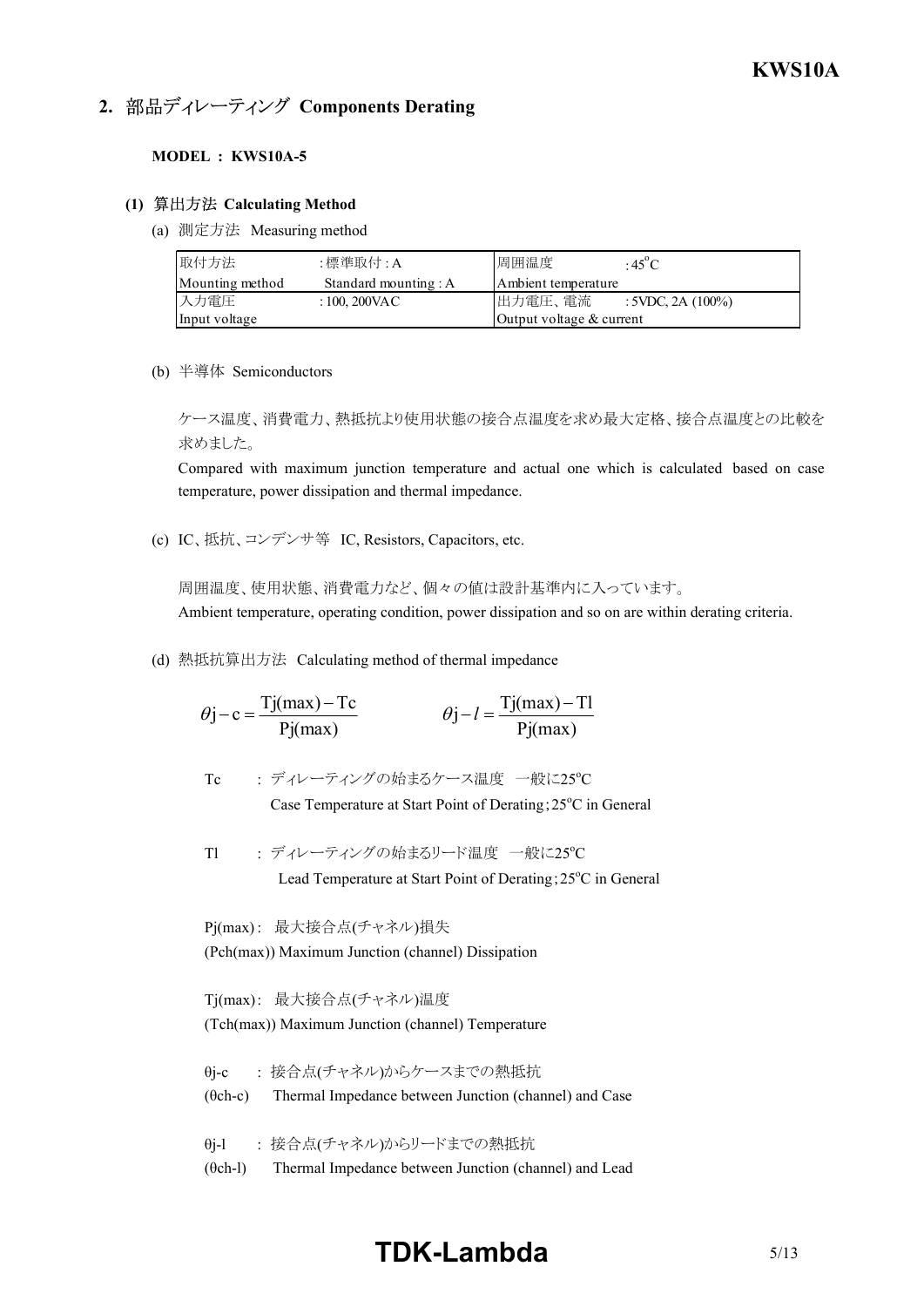## **2. 部品ディレーティング Components Derating**

#### **MODEL : KWS10A-5**

#### **(1) Calculating Method**

(a) 測定方法 Measuring method

| 取付方法            | :標準取付 : A             | 周囲温度                       | $:45^{\circ}C$       |
|-----------------|-----------------------|----------------------------|----------------------|
| Mounting method | Standard mounting : A | Ambient temperature        |                      |
| 入力電圧            | $:100,200$ VAC        | 出力電圧、電流                    | : 5VDC, 2A $(100\%)$ |
| Input voltage   |                       | Output voltage $&$ current |                      |

(b) 半導体 Semiconductors

ケース温度、消費電力、熱抵抗より使用状態の接合点温度を求め最大定格、接合点温度との比較を 求めました。

Compared with maximum junction temperature and actual one which is calculated based on case temperature, power dissipation and thermal impedance.

(c) IC、抵抗、コンデンサ等 IC, Resistors, Capacitors, etc.

周囲温度、使用状態、消費電力など、個々の値は設計基準内に入っています。 Ambient temperature, operating condition, power dissipation and so on are within derating criteria.

(d) 熱抵抗算出方法 Calculating method of thermal impedance

$$
\theta j - c = \frac{Tj(max) - Tc}{Pj(max)} \qquad \theta j - l = \frac{Tj(max) - Tl}{Pj(max)}
$$

Tc : ディレーティングの始まるケース温度 一般に25°C

Case Temperature at Start Point of Derating;  $25^{\circ}$ C in General

Tl : ディレーティングの始まるリード温度 一般に25°C Lead Temperature at Start Point of Derating;  $25^{\circ}$ C in General

Pj(max) : 最大接合点(チャネル)損失 (Pch(max)) Maximum Junction (channel) Dissipation

Tj(max) : 最大接合点(チャネル)温度 (Tch(max)) Maximum Junction (channel) Temperature

- θjc : 接合点(チャネル)からケースまでの熱抵抗  $(\theta$ ch-c) Thermal Impedance between Junction (channel) and Case
- θj-l : 接合点(チャネル)からリードまでの熱抵抗
- $(\theta$ ch-l) Thermal Impedance between Junction (channel) and Lead

# **TDK-Lambda** 5/13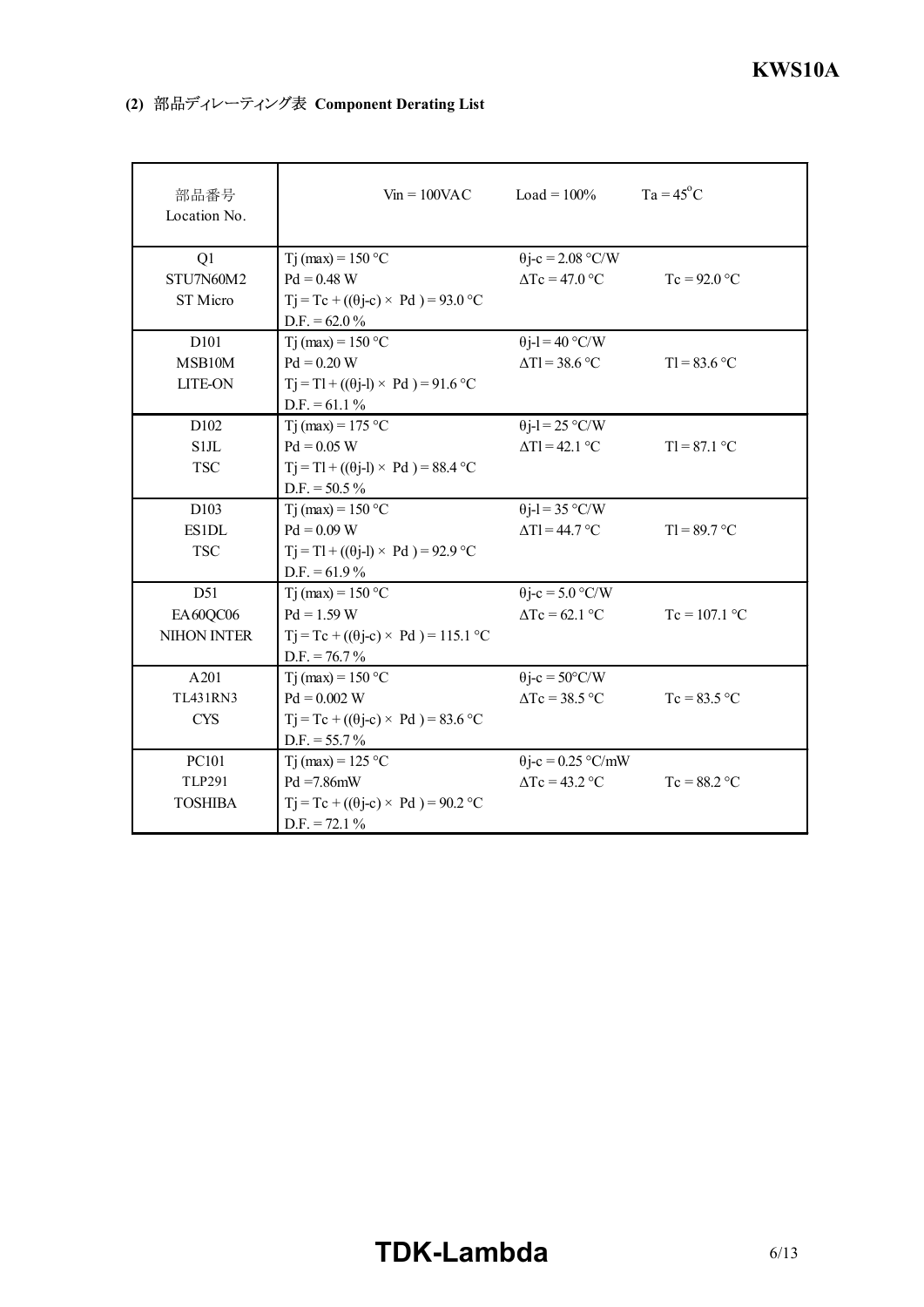| 部品番号<br>Location No. | $V_{in} = 100$ VAC                                | $Load = 100\%$            | $Ta = 45^{\circ}C$ |
|----------------------|---------------------------------------------------|---------------------------|--------------------|
| Q1                   | T <sub>j</sub> (max) = $150 °C$                   | $\theta$ j-c = 2.08 °C/W  |                    |
| STU7N60M2            | $Pd = 0.48 W$                                     | $\Delta Tc = 47.0$ °C     | $Tc = 92.0$ °C     |
| ST Micro             | $Tj = Tc + ((\theta j - c) \times Pd) = 93.0$ °C  |                           |                    |
|                      | $D.F. = 62.0 \%$                                  |                           |                    |
| D <sub>10</sub> 1    | Tj (max) = $150 °C$                               | $\theta$ j-l = 40 °C/W    |                    |
| MSB10M               | $Pd = 0.20 W$                                     | $\Delta T l$ = 38.6 °C    | $T = 83.6 °C$      |
| <b>LITE-ON</b>       | $Tj = T1 + ((\theta j - 1) \times Pd) = 91.6$ °C  |                           |                    |
|                      | $D.F. = 61.1 \%$                                  |                           |                    |
| D <sub>102</sub>     | Tj (max) = $175$ °C                               | $\theta$ j-l = 25 °C/W    |                    |
| S1JL                 | $Pd = 0.05 W$                                     | $\Delta T l$ = 42.1 °C    | $T1 = 87.1 °C$     |
| <b>TSC</b>           | $Tj = Tl + ((\theta j - l) \times Pd) = 88.4 °C$  |                           |                    |
|                      | $D.F. = 50.5 \%$                                  |                           |                    |
| D <sub>103</sub>     | $Ti$ (max) = 150 °C                               | $\theta$ j-l = 35 °C/W    |                    |
| <b>ES1DL</b>         | $Pd = 0.09 W$                                     | $\Delta T$ l = 44.7 °C    | $TI = 89.7 °C$     |
| <b>TSC</b>           | $Tj = Tl + ((\theta j - l) \times Pd) = 92.9$ °C  |                           |                    |
|                      | D.F. = $61.9\%$                                   |                           |                    |
| D51                  | $Ti$ (max) = 150 °C                               | $\theta$ j-c = 5.0 °C/W   |                    |
| EA60QC06             | $Pd = 1.59 W$                                     | $\Delta Tc = 62.1$ °C     | $Tc = 107.1 °C$    |
| NIHON INTER          | $Tj = Tc + ((\theta j - c) \times Pd) = 115.1$ °C |                           |                    |
|                      | $D.F. = 76.7\%$                                   |                           |                    |
| A201                 | Tj (max) = $150 °C$                               | $\theta$ j-c = 50°C/W     |                    |
| <b>TL431RN3</b>      | $Pd = 0.002 W$                                    | $\Delta Tc = 38.5 °C$     | $Tc = 83.5$ °C     |
| <b>CYS</b>           | $Tj = Tc + ((\theta j - c) \times Pd) = 83.6$ °C  |                           |                    |
|                      | $D.F. = 55.7\%$                                   |                           |                    |
| <b>PC101</b>         | Tj (max) = $125$ °C                               | $\theta$ j-c = 0.25 °C/mW |                    |
| <b>TLP291</b>        | $Pd = 7.86$ mW                                    | $\Delta Tc = 43.2$ °C     | $Tc = 88.2$ °C     |
| <b>TOSHIBA</b>       | $Tj = Tc + ((\theta j - c) \times Pd) = 90.2$ °C  |                           |                    |
|                      | $D.F. = 72.1 \%$                                  |                           |                    |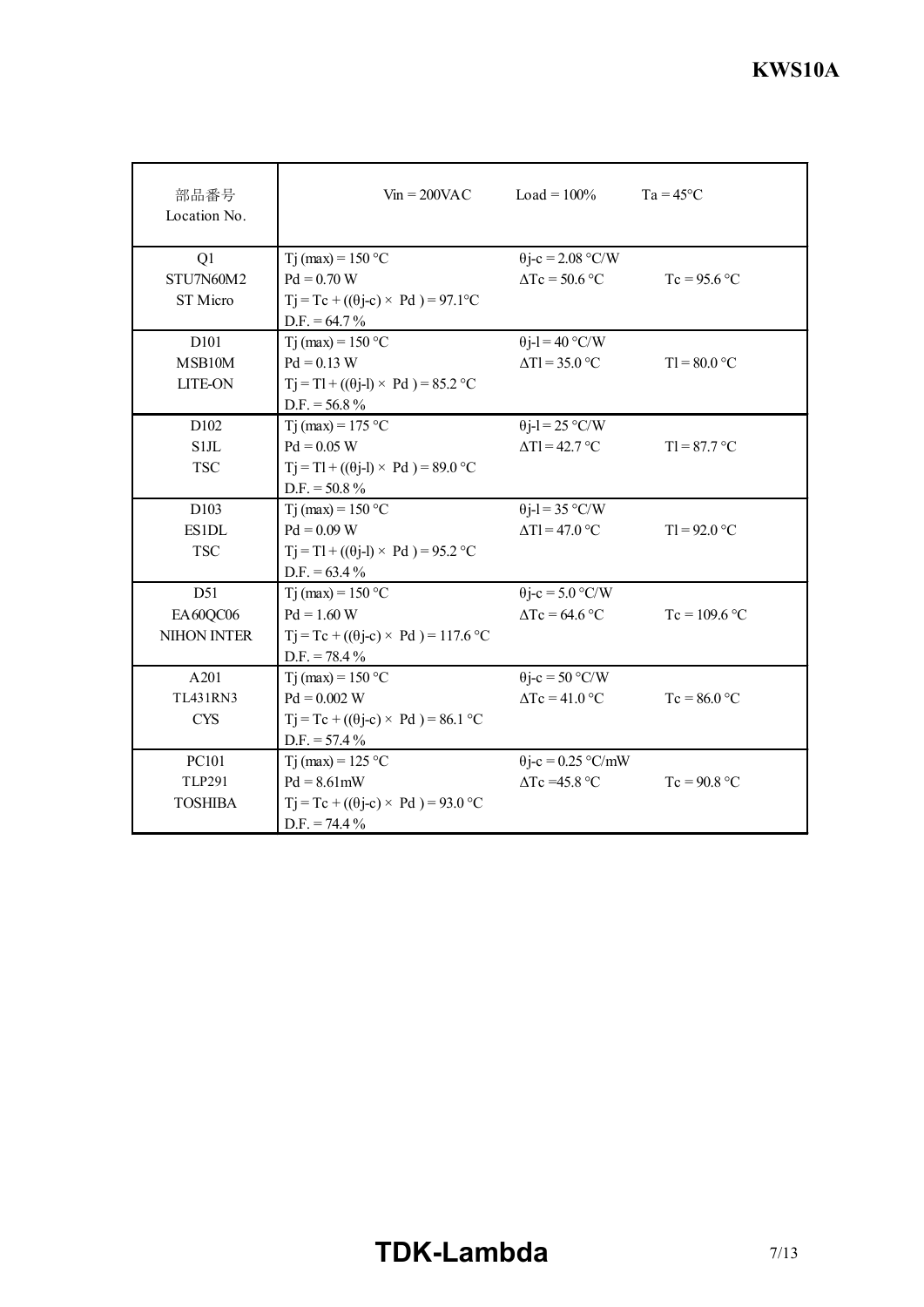| 部品番号<br>Location No. | $V_{\text{in}} = 200 \text{VAC}$                  | $Load = 100\%$                                  | $Ta = 45^{\circ}C$ |
|----------------------|---------------------------------------------------|-------------------------------------------------|--------------------|
| Q1                   | T <sub>j</sub> (max) = $150 °C$                   | $\theta$ j-c = 2.08 °C/W                        |                    |
| STU7N60M2            | $Pd = 0.70 W$                                     | $\Delta Tc = 50.6$ °C                           | $Tc = 95.6 °C$     |
| <b>ST Micro</b>      | $Tj = Tc + ((\theta j - c) \times Pd) = 97.1$ °C  |                                                 |                    |
|                      | $D.F. = 64.7\%$                                   |                                                 |                    |
| D <sub>101</sub>     | $Ti$ (max) = 150 °C                               | $\theta$ j-l = 40 °C/W                          |                    |
| MSB10M               | $Pd = 0.13 W$                                     | $\Delta T l = 35.0 °C$                          | $T = 80.0 °C$      |
| <b>LITE-ON</b>       | $Tj = Tl + ((\theta j - l) \times Pd) = 85.2 °C$  |                                                 |                    |
|                      | $D.F. = 56.8\%$                                   |                                                 |                    |
| D <sub>102</sub>     | T <sub>j</sub> (max) = 175 °C                     | $\theta$ j-l = 25 °C/W                          |                    |
| <b>S1JL</b>          | $Pd = 0.05 W$                                     | $\Delta T l$ = 42.7 °C                          | $TI = 87.7 °C$     |
| <b>TSC</b>           | $Tj = Tl + ((\theta j - l) \times Pd) = 89.0 °C$  |                                                 |                    |
|                      | $D.F. = 50.8 \%$                                  |                                                 |                    |
| D <sub>103</sub>     | Tj (max) = $150 °C$                               | $\theta$ j-l = 35 °C/W                          |                    |
| <b>ES1DL</b>         | $Pd = 0.09 W$                                     | $\Delta T l$ = 47.0 °C                          | $T = 92.0 °C$      |
| <b>TSC</b>           | $Tj = Tl + ((\theta j - l) \times Pd) = 95.2 °C$  |                                                 |                    |
|                      | $D.F. = 63.4\%$                                   |                                                 |                    |
| D51                  | Tj (max) = $150 °C$                               | $\theta$ j-c = 5.0 °C/W                         |                    |
| EA60QC06             | $Pd = 1.60 W$                                     | $\Delta Tc = 64.6$ °C                           | $Tc = 109.6 °C$    |
| <b>NIHON INTER</b>   | $Tj = Tc + ((\theta j - c) \times Pd) = 117.6$ °C |                                                 |                    |
| A201                 | $D.F. = 78.4\%$<br>$Ti$ (max) = 150 °C            |                                                 |                    |
| <b>TL431RN3</b>      | $Pd = 0.002 W$                                    | $\theta$ j-c = 50 °C/W<br>$\Delta Tc = 41.0$ °C | $Tc = 86.0 °C$     |
| <b>CYS</b>           | $Tj = Tc + ((\theta j - c) \times Pd) = 86.1$ °C  |                                                 |                    |
|                      | $D.F. = 57.4\%$                                   |                                                 |                    |
| PC101                | $Ti$ (max) = 125 °C                               | $\theta$ j-c = 0.25 °C/mW                       |                    |
| <b>TLP291</b>        | $Pd = 8.61mW$                                     | $\Delta$ Tc =45.8 °C                            | $Tc = 90.8 °C$     |
| <b>TOSHIBA</b>       | $Tj = Tc + ((\theta j - c) \times Pd) = 93.0$ °C  |                                                 |                    |
|                      | $D.F. = 74.4\%$                                   |                                                 |                    |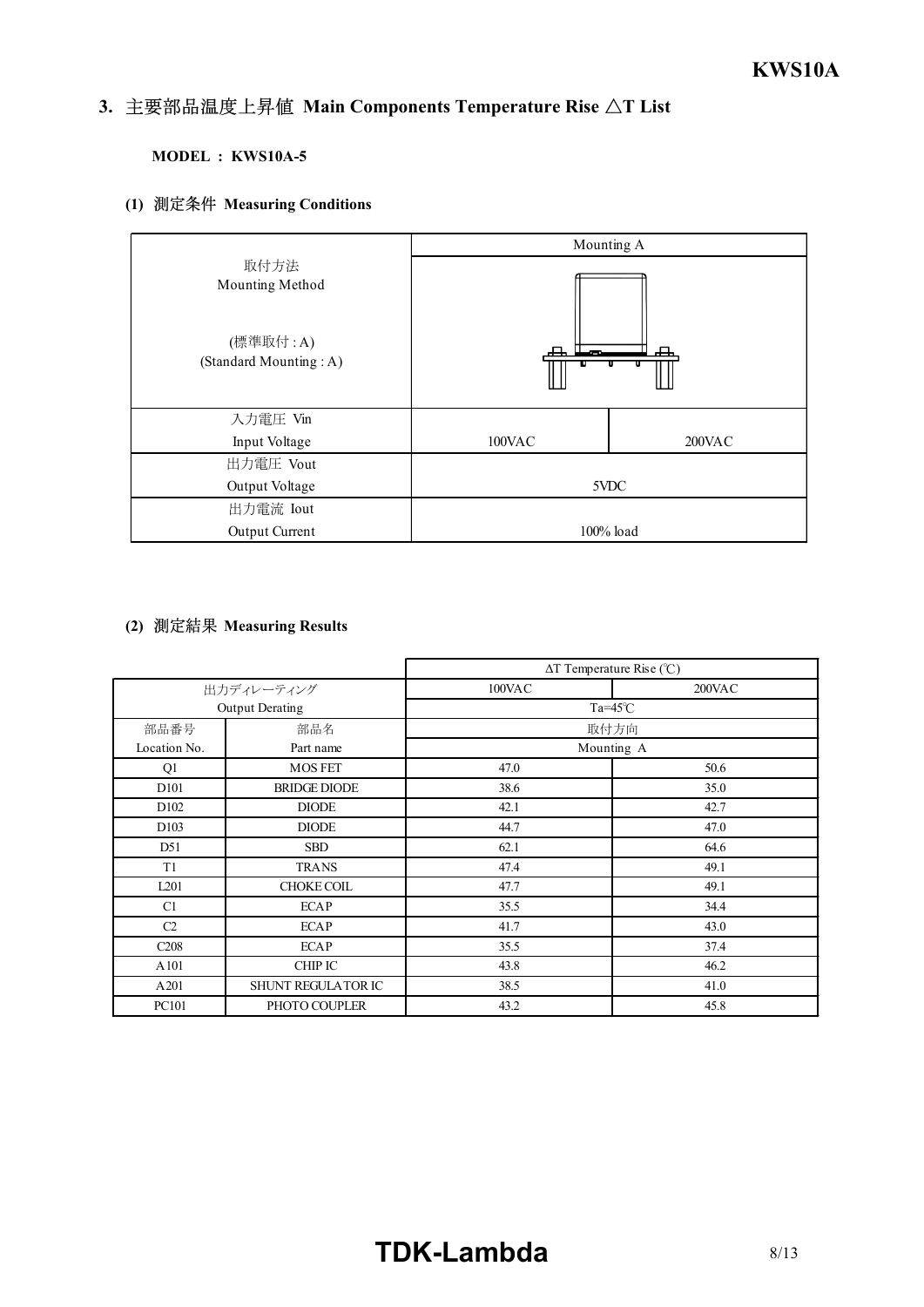#### *INSTRUCTION MANUAL* 3. 主要部品温度上昇值 Main Components Temperature Rise  $\Delta T$  List

### **MODEL : KWS10A-5**

## **(1) Measuring Conditions**

|                                    |        | Mounting A |  |  |  |
|------------------------------------|--------|------------|--|--|--|
| 取付方法<br>Mounting Method            | ᅩ      |            |  |  |  |
| (標準取付:A)<br>(Standard Mounting: A) |        |            |  |  |  |
| 入力電圧 Vin                           |        |            |  |  |  |
| Input Voltage                      | 100VAC | 200VAC     |  |  |  |
| 出力電圧 Vout                          |        |            |  |  |  |
| Output Voltage                     | 5VDC   |            |  |  |  |
| 出力電流 Iout                          |        |            |  |  |  |
| Output Current                     |        | 100% load  |  |  |  |

#### **(2) Measuring Results**

|                   |                        |        | $\Delta T$ Temperature Rise (°C) |
|-------------------|------------------------|--------|----------------------------------|
|                   | 出力ディレーティング             | 100VAC | $200$ VAC                        |
|                   | <b>Output Derating</b> |        | Ta= $45^{\circ}$ C               |
| 部品番号              | 部品名                    |        | 取付方向                             |
| Location No.      | Part name              |        | Mounting A                       |
| Q1                | <b>MOS FET</b>         | 47.0   | 50.6                             |
| D <sub>10</sub> 1 | <b>BRIDGE DIODE</b>    | 38.6   | 35.0                             |
| D <sub>102</sub>  | <b>DIODE</b>           | 42.1   | 42.7                             |
| D <sub>103</sub>  | <b>DIODE</b>           | 44.7   | 47.0                             |
| D51               | <b>SBD</b>             | 62.1   | 64.6                             |
| T1                | <b>TRANS</b>           | 47.4   | 49.1                             |
| L <sub>201</sub>  | <b>CHOKE COIL</b>      | 47.7   | 49.1                             |
| C1                | <b>ECAP</b>            | 35.5   | 34.4                             |
| C <sub>2</sub>    | <b>ECAP</b>            | 41.7   | 43.0                             |
| C <sub>208</sub>  | <b>ECAP</b>            | 35.5   | 37.4                             |
| A101              | <b>CHIP IC</b>         | 43.8   | 46.2                             |
| A201              | SHUNT REGULATOR IC     | 38.5   | 41.0                             |
| PC101             | PHOTO COUPLER          | 43.2   | 45.8                             |

# **TDK-Lambda** 8/13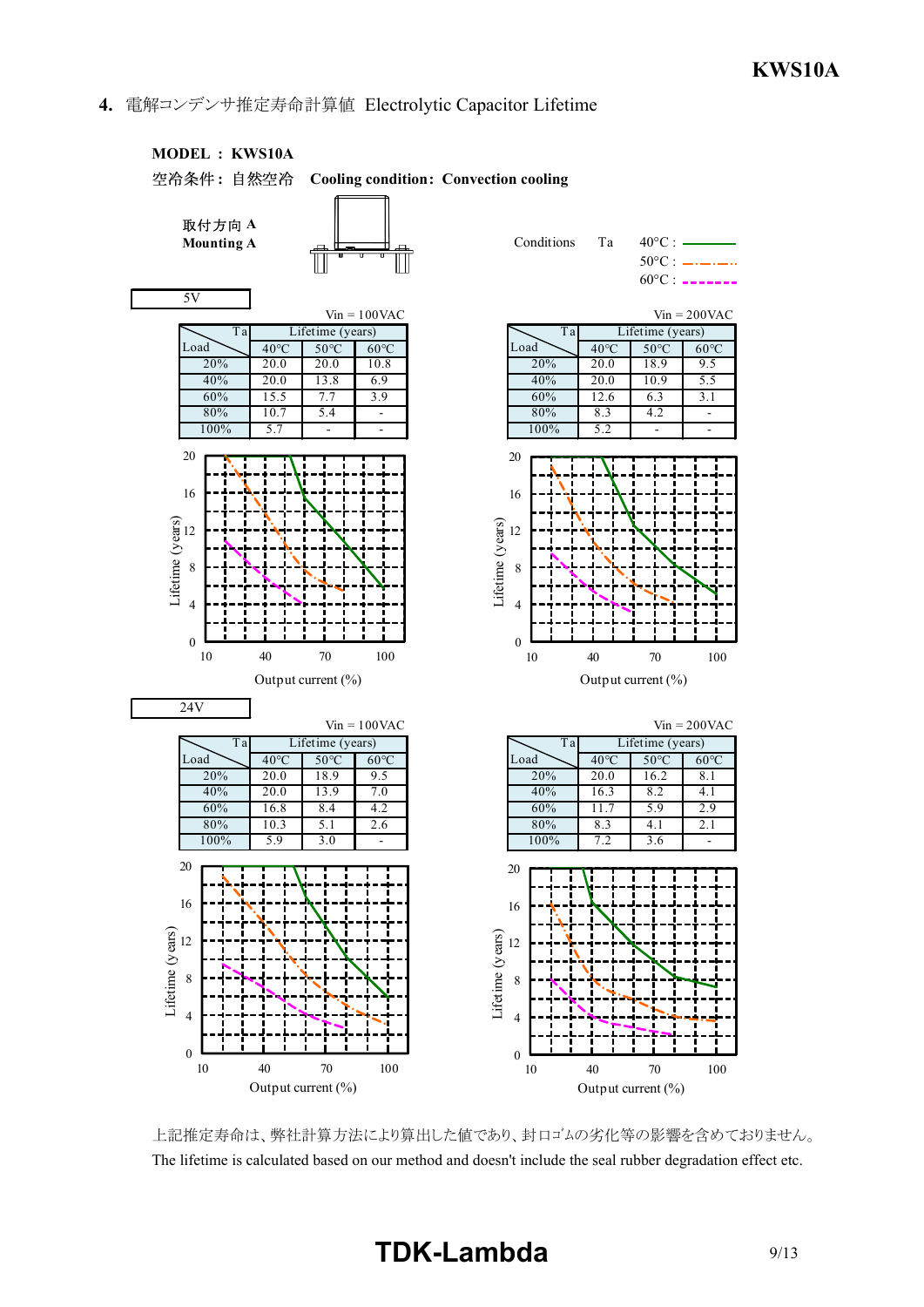**4.** 電解コンデンサ推定寿命計算値 Electrolytic Capacitor Lifetime



上記推定寿命は、弊社計算方法により算出した値であり、封口ゴムの劣化等の影響を含めておりません。 The lifetime is calculated based on our method and doesn't include the seal rubber degradation effect etc.

# **TDK-Lambda** 9/13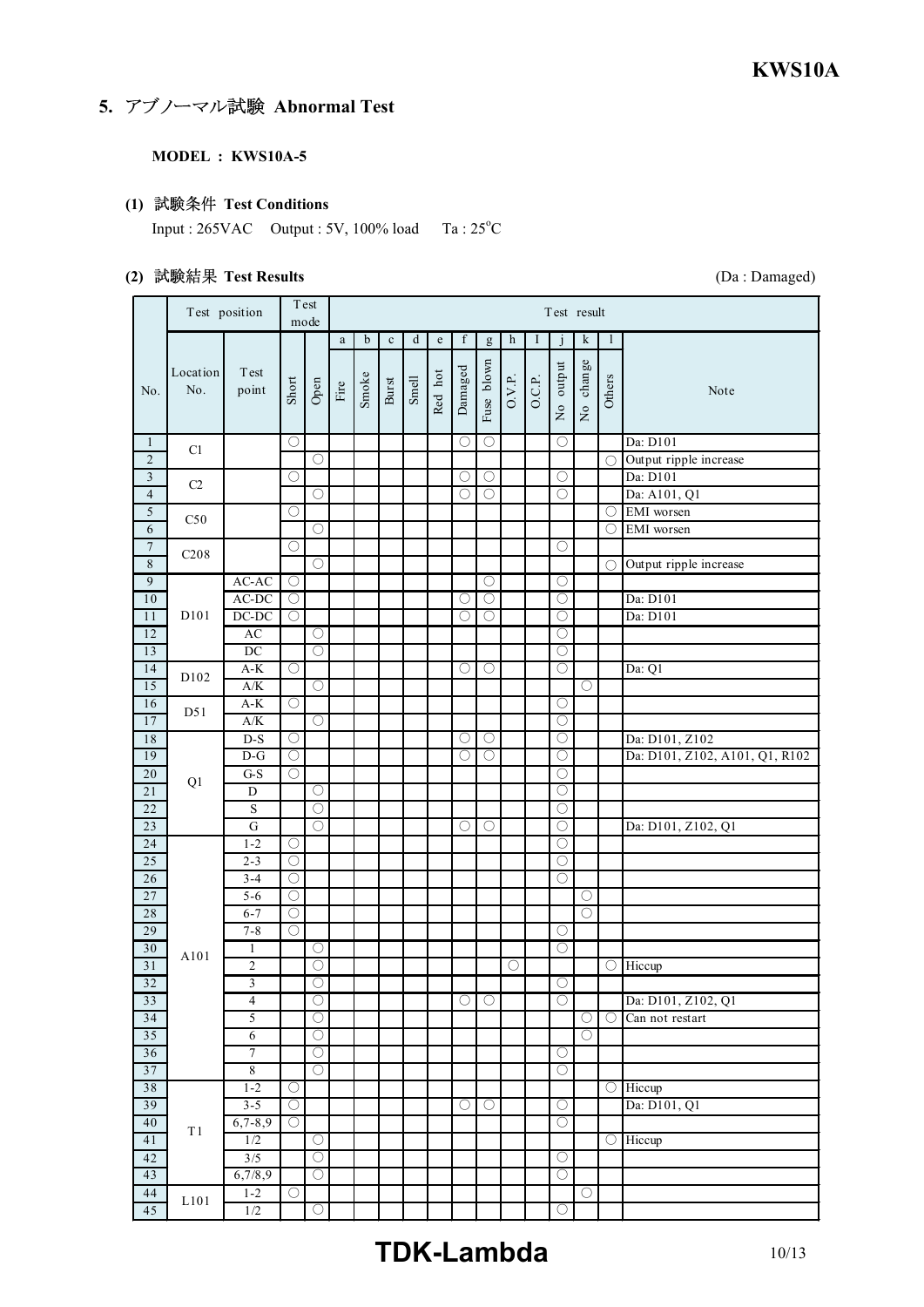## **5. アブノーマル試験 Abnormal Test**

#### **MODEL : KWS10A-5**

#### **(1) Test Conditions**

Input :  $265VAC$  Output :  $5V$ ,  $100\%$  load Ta :  $25^{\circ}C$ 

#### **(2) Test Results** (Da : Damaged)

|                     | Test position   |                         |                       | Test<br>mode                   | Test result  |             |             |             |         |             |                     |        |        |                                            |                                                                                                                                                                                                                 |                 |                                                  |
|---------------------|-----------------|-------------------------|-----------------------|--------------------------------|--------------|-------------|-------------|-------------|---------|-------------|---------------------|--------|--------|--------------------------------------------|-----------------------------------------------------------------------------------------------------------------------------------------------------------------------------------------------------------------|-----------------|--------------------------------------------------|
|                     |                 |                         |                       |                                | $\rm{a}$     | $\mathbf b$ | $\mathbf c$ | $\mathbf d$ | $\rm e$ | $\mathbf f$ | $\mathbf g$         | h      | Ι      |                                            | k                                                                                                                                                                                                               | $\mathbf{I}$    |                                                  |
| No.                 | Location<br>No. | <b>T</b> est<br>point   | Short                 | $\mathop{\rm Open}\nolimits$   | $\mathbf{E}$ | Smoke       | Burst       | Smell       | Red hot | Damaged     | Fuse blown          | O.V.P. | O.C.P. | No output                                  | change<br>$\rm \stackrel{\circ}{\rm \stackrel{\circ}{\rm \stackrel{\circ}{\rm \stackrel{\circ}{\rm \stackrel{\circ}{\rm \stackrel{\circ}{\rm \stackrel{\circ}{\rm \stackrel{\circ}{\rm \scriptstyle\circ}}}}}}$ | Others          | Note                                             |
| $\mathbf{1}$        | C <sub>1</sub>  |                         | $\circlearrowright$   |                                |              |             |             |             |         | 0           | $\circlearrowright$ |        |        | O                                          |                                                                                                                                                                                                                 |                 | Da: D101                                         |
| $\overline{2}$      |                 |                         |                       | $\bigcirc$                     |              |             |             |             |         |             |                     |        |        |                                            |                                                                                                                                                                                                                 | $\circ$         | Output ripple increase                           |
| $\sqrt{3}$          | C2              |                         | O                     |                                |              |             |             |             |         | O           | O                   |        |        | O                                          |                                                                                                                                                                                                                 |                 | Da: D101                                         |
| $\overline{4}$      |                 |                         |                       | O                              |              |             |             |             |         | O           | O                   |        |        | O                                          |                                                                                                                                                                                                                 |                 | Da: A101, Q1<br>EMI worsen                       |
| $\overline{5}$<br>6 | C50             |                         | O                     | $\bigcirc$                     |              |             |             |             |         |             |                     |        |        |                                            |                                                                                                                                                                                                                 | $\bigcirc$<br>∩ | EMI worsen                                       |
| $\tau$              |                 |                         | $\bigcirc$            |                                |              |             |             |             |         |             |                     |        |        | $\bigcirc$                                 |                                                                                                                                                                                                                 |                 |                                                  |
| $\overline{8}$      | C208            |                         |                       | $\bigcirc$                     |              |             |             |             |         |             |                     |        |        |                                            |                                                                                                                                                                                                                 | $\bigcirc$      | Output ripple increase                           |
| 9                   |                 | AC-AC                   | O                     |                                |              |             |             |             |         |             | O                   |        |        | O                                          |                                                                                                                                                                                                                 |                 |                                                  |
| $10$                |                 | AC-DC                   | О                     |                                |              |             |             |             |         | O           | О                   |        |        | $\circlearrowright$                        |                                                                                                                                                                                                                 |                 | Da: D101                                         |
| 11                  | D101            | $DC-DC$                 | O                     |                                |              |             |             |             |         | O           | $\bigcirc$          |        |        | $\bigcirc$                                 |                                                                                                                                                                                                                 |                 | Da: D101                                         |
| 12                  |                 | $\mathbf{A}\mathbf{C}$  |                       | $\circ$                        |              |             |             |             |         |             |                     |        |        | $\circlearrowright$                        |                                                                                                                                                                                                                 |                 |                                                  |
| 13                  |                 | DC                      |                       | $\bigcirc$                     |              |             |             |             |         |             |                     |        |        | $\circlearrowright$                        |                                                                                                                                                                                                                 |                 |                                                  |
| 14                  | D102            | $A-K$                   | O                     |                                |              |             |             |             |         | Ο           | $\circlearrowright$ |        |        | Ō                                          |                                                                                                                                                                                                                 |                 | $\overline{D}a$ : Q1                             |
| 15                  |                 | A/K                     |                       | $\bigcirc$                     |              |             |             |             |         |             |                     |        |        |                                            | Ο                                                                                                                                                                                                               |                 |                                                  |
| 16                  | D51             | $A-K$                   | $\bigcirc$            |                                |              |             |             |             |         |             |                     |        |        | $\circ$                                    |                                                                                                                                                                                                                 |                 |                                                  |
| 17                  |                 | $\mathbf{A}/\mathbf{K}$ |                       | O                              |              |             |             |             |         |             |                     |        |        | $\circlearrowright$<br>$\circlearrowright$ |                                                                                                                                                                                                                 |                 |                                                  |
| 18<br>19            |                 | $D-S$<br>$D-G$          | O<br>O                |                                |              |             |             |             |         | О<br>O      | O<br>$\bigcirc$     |        |        | $\circ$                                    |                                                                                                                                                                                                                 |                 | Da: D101, Z102<br>Da: D101, Z102, A101, Q1, R102 |
| 20                  |                 | $G-S$                   | O                     |                                |              |             |             |             |         |             |                     |        |        | $\circ$                                    |                                                                                                                                                                                                                 |                 |                                                  |
| 21                  | Q1              | D                       |                       | O                              |              |             |             |             |         |             |                     |        |        | $\circlearrowright$                        |                                                                                                                                                                                                                 |                 |                                                  |
| 22                  |                 | ${\bf S}$               |                       | $\overline{\circ}$             |              |             |             |             |         |             |                     |        |        | $\circlearrowright$                        |                                                                                                                                                                                                                 |                 |                                                  |
| 23                  |                 | $\overline{G}$          |                       | $\circ$                        |              |             |             |             |         | O           | $\circlearrowright$ |        |        | 0                                          |                                                                                                                                                                                                                 |                 | Da: D101, Z102, Q1                               |
| 24                  |                 | $1 - 2$                 | O                     |                                |              |             |             |             |         |             |                     |        |        | $\circ$                                    |                                                                                                                                                                                                                 |                 |                                                  |
| 25                  |                 | $2 - 3$                 | O                     |                                |              |             |             |             |         |             |                     |        |        | $\circlearrowright$                        |                                                                                                                                                                                                                 |                 |                                                  |
| 26                  |                 | $3 - 4$                 | $\circlearrowright$   |                                |              |             |             |             |         |             |                     |        |        | $\circlearrowright$                        |                                                                                                                                                                                                                 |                 |                                                  |
| 27                  |                 | $5 - 6$                 | $\overline{\bigcirc}$ |                                |              |             |             |             |         |             |                     |        |        |                                            | Ο                                                                                                                                                                                                               |                 |                                                  |
| 28                  |                 | $6 - 7$                 | $\circlearrowright$   |                                |              |             |             |             |         |             |                     |        |        |                                            | $\circlearrowright$                                                                                                                                                                                             |                 |                                                  |
| 29                  |                 | $7 - 8$                 | O                     |                                |              |             |             |             |         |             |                     |        |        | O                                          |                                                                                                                                                                                                                 |                 |                                                  |
| 30<br>31            | A101            | 1<br>$\overline{2}$     |                       | $\circlearrowright$<br>$\circ$ |              |             |             |             |         |             |                     |        |        | $\circ$                                    |                                                                                                                                                                                                                 |                 |                                                  |
| 32                  |                 | 3                       |                       | $\circ$                        |              |             |             |             |         |             |                     | О      |        | $\circ$                                    |                                                                                                                                                                                                                 |                 | $\overline{\bigcirc}$ Hiccup                     |
| 33                  |                 | 4                       |                       | $\circlearrowright$            |              |             |             |             |         | O           | $\circ$             |        |        | O                                          |                                                                                                                                                                                                                 |                 | Da: D101, Z102, Q1                               |
| 34                  |                 | 5                       |                       | $\bigcirc$                     |              |             |             |             |         |             |                     |        |        |                                            | О                                                                                                                                                                                                               | $\bigcirc$      | Can not restart                                  |
| 35                  |                 | 6                       |                       | $\bigcirc$                     |              |             |             |             |         |             |                     |        |        |                                            | О                                                                                                                                                                                                               |                 |                                                  |
| 36                  |                 | $\tau$                  |                       | $\circ$                        |              |             |             |             |         |             |                     |        |        | $\circ$                                    |                                                                                                                                                                                                                 |                 |                                                  |
| 37                  |                 | $\sqrt{8}$              |                       | $\bigcirc$                     |              |             |             |             |         |             |                     |        |        | $\circ$                                    |                                                                                                                                                                                                                 |                 |                                                  |
| $3\,8$              |                 | $1 - 2$                 | $\circlearrowright$   |                                |              |             |             |             |         |             |                     |        |        |                                            |                                                                                                                                                                                                                 | $\circ$         | Hiccup                                           |
| 39                  |                 | $3 - 5$                 | $\circ$               |                                |              |             |             |             |         | O           | $\circ$             |        |        | $\circ$                                    |                                                                                                                                                                                                                 |                 | Da: D101, Q1                                     |
| 40                  | $\rm T\,1$      | $6,7 - 8,9$             | $\circlearrowright$   |                                |              |             |             |             |         |             |                     |        |        | $\circ$                                    |                                                                                                                                                                                                                 |                 |                                                  |
| 41                  |                 | 1/2                     |                       | $\bigcirc$                     |              |             |             |             |         |             |                     |        |        |                                            |                                                                                                                                                                                                                 | $\bigcirc$      | Hiccup                                           |
| 42                  |                 | $3/5$                   |                       | $\bigcirc$                     |              |             |             |             |         |             |                     |        |        | $\circ$                                    |                                                                                                                                                                                                                 |                 |                                                  |
| 43                  |                 | 6,7/8,9                 | Ο                     | $\bigcirc$                     |              |             |             |             |         |             |                     |        |        | $\circ$                                    | $\circlearrowright$                                                                                                                                                                                             |                 |                                                  |
| 44<br>45            | L101            | $1 - 2$<br>1/2          |                       | $\bigcirc$                     |              |             |             |             |         |             |                     |        |        | $\circlearrowright$                        |                                                                                                                                                                                                                 |                 |                                                  |
|                     |                 |                         |                       |                                |              |             |             |             |         |             |                     |        |        |                                            |                                                                                                                                                                                                                 |                 |                                                  |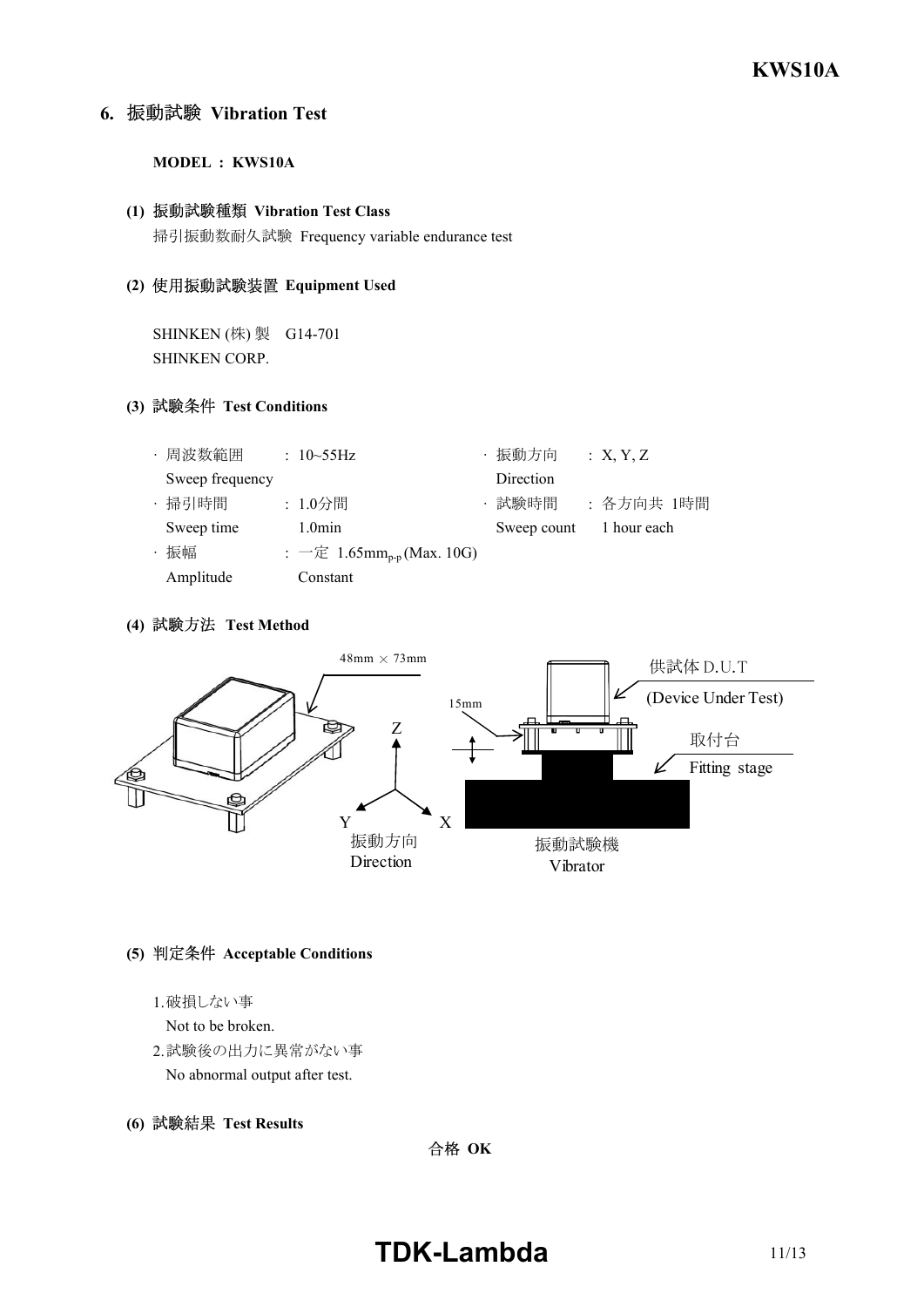## **6. Vibration Test**

#### **MODEL : KWS10A**

#### **(1) Vibration Test Class**

掃引振動数耐久試験 Frequency variable endurance test

#### **(2) Equipment Used**

SHINKEN (株) 製 G14701 SHINKEN CORP.

#### **(3) Test Conditions**

| ・周波数範囲          | : $10 \sim 55 \text{Hz}$                      | 振動方向        | :X, Y, Z    |
|-----------------|-----------------------------------------------|-------------|-------------|
| Sweep frequency |                                               | Direction   |             |
| · 掃引時間          | : 1.0分間                                       | ・試験時間       | :各方向共 1時間   |
| Sweep time      | $1.0$ min                                     | Sweep count | 1 hour each |
| ・振幅             | : $-\bar{x}$ 1.65mm <sub>p-p</sub> (Max. 10G) |             |             |
| Amplitude       | Constant                                      |             |             |

#### **(4) Test Method**



#### **(5) Acceptable Conditions**

1.破損しない事

Not to be broken.

- 2.試験後の出力に異常がない事 No abnormal output after test.
- **(6) Test Results**

合格 OK

# **TDK-Lambda** 11/13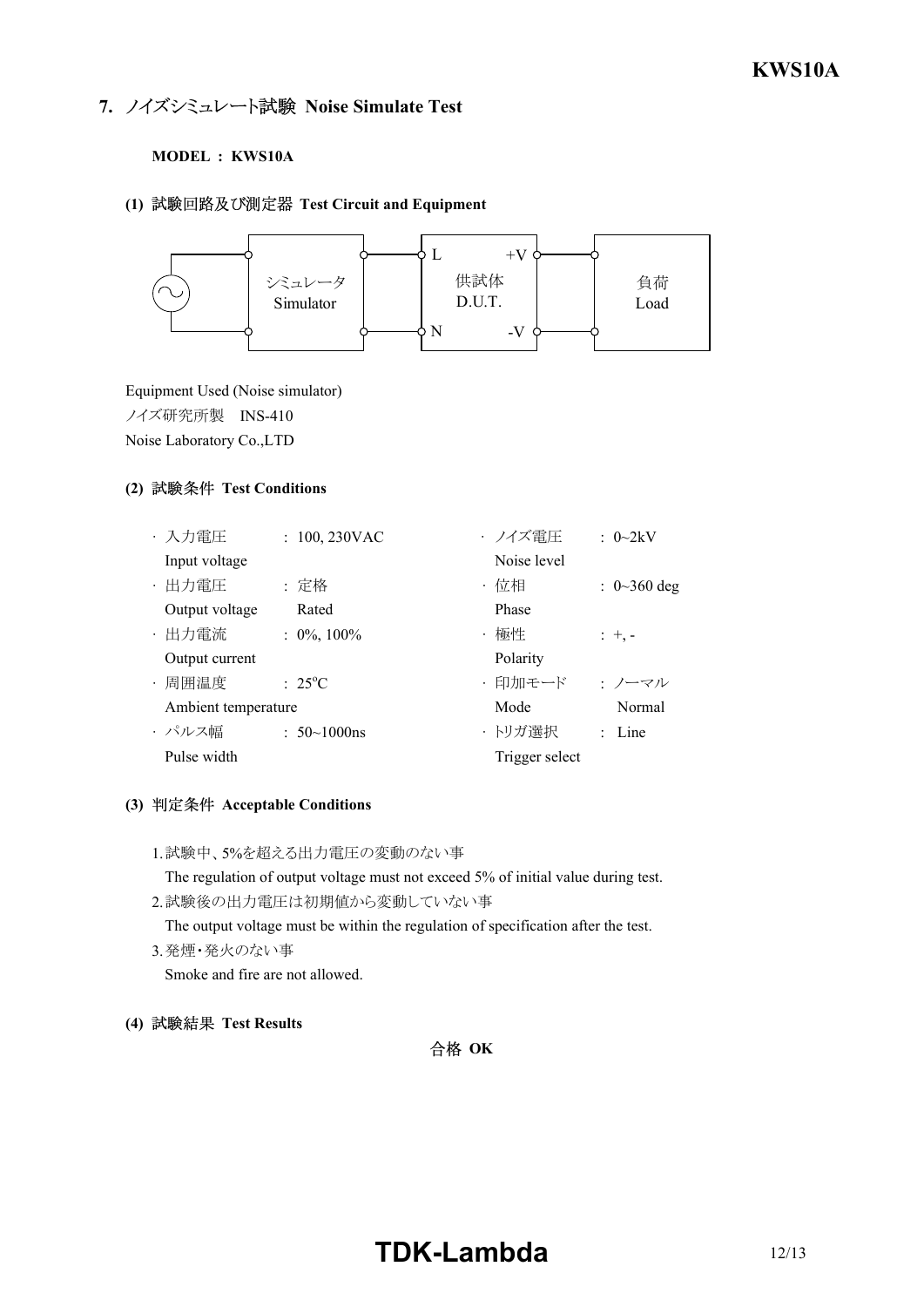## **7. ノイズシミュレート試験 Noise Simulate Test**

#### **MODEL : KWS10A**

#### **(1) Test Circuit and Equipment**



Equipment Used (Noise simulator) ノイズ研究所製 INS410 Noise Laboratory Co.,LTD

#### **(2) Test Conditions**

| ・入力電圧               | $: 100, 230$ VAC    | ・ノイズ雷圧         | : $0\sim2kV$               |
|---------------------|---------------------|----------------|----------------------------|
| Input voltage       |                     | Noise level    |                            |
| · 出力電圧              | : 定格                | ・位相            | : $0 \sim 360 \text{ deg}$ |
| Output voltage      | Rated               | Phase          |                            |
| · 出力電流              | $: 0\%, 100\%$      | ・極性            | $: +,-$                    |
| Output current      |                     | Polarity       |                            |
| · 周囲温度              | $: 25^{\circ}C$     | ・印加モード         | ・ノーマル                      |
| Ambient temperature |                     | Mode           | Normal                     |
| ・パルス幅               | : $50 \sim 1000$ ns | ・トリガ選択         | $:$ Line                   |
| Pulse width         |                     | Trigger select |                            |

#### **(3) Acceptable Conditions**

1.試験中、5%を超える出力電圧の変動のない事

The regulation of output voltage must not exceed 5% of initial value during test.

- 2.試験後の出力電圧は初期値から変動していない事 The output voltage must be within the regulation of specification after the test.
- 3.発煙・発火のない事 Smoke and fire are not allowed.
- **(4) Test Results**

合格 OK

# **TDK-Lambda** 12/13